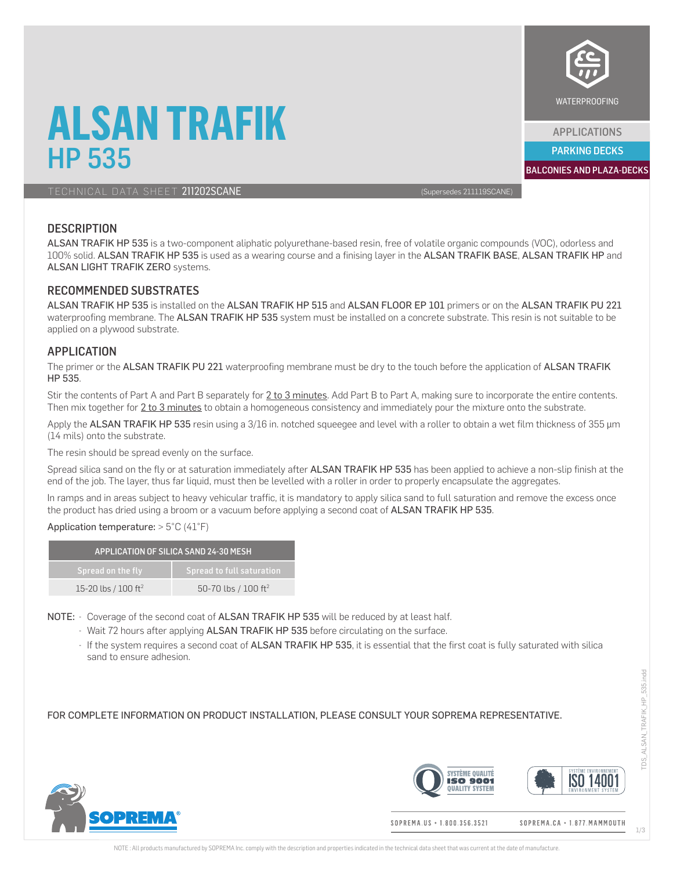

APPLICATIONS

PARKING DECKS

**ALSAN TRAFIK HP 535** BALCONIES AND PLAZA-DECKS BALCONIES AND PLAZA-DECKS

TECHNICAL DATA SHEET 211202SCANE (Supersedes 211119SCANE)

### **DESCRIPTION**

ALSAN TRAFIK HP 535 is a two-component aliphatic polyurethane-based resin, free of volatile organic compounds (VOC), odorless and 100% solid. ALSAN TRAFIK HP 535 is used as a wearing course and a finising layer in the ALSAN TRAFIK BASE, ALSAN TRAFIK HP and ALSAN LIGHT TRAFIK ZERO systems.

#### RECOMMENDED SUBSTRATES

ALSAN TRAFIK HP 535 is installed on the ALSAN TRAFIK HP 515 and ALSAN FLOOR EP 101 primers or on the ALSAN TRAFIK PU 221 waterproofing membrane. The ALSAN TRAFIK HP 535 system must be installed on a concrete substrate. This resin is not suitable to be applied on a plywood substrate.

#### APPLICATION

The primer or the ALSAN TRAFIK PU 221 waterproofing membrane must be dry to the touch before the application of ALSAN TRAFIK HP 535.

Stir the contents of Part A and Part B separately for 2 to 3 minutes. Add Part B to Part A, making sure to incorporate the entire contents. Then mix together for 2 to 3 minutes to obtain a homogeneous consistency and immediately pour the mixture onto the substrate.

Apply the ALSAN TRAFIK HP 535 resin using a 3/16 in. notched squeeqee and level with a roller to obtain a wet film thickness of 355 µm (14 mils) onto the substrate.

The resin should be spread evenly on the surface.

Spread silica sand on the fly or at saturation immediately after ALSAN TRAFIK HP 535 has been applied to achieve a non-slip finish at the end of the job. The layer, thus far liquid, must then be levelled with a roller in order to properly encapsulate the aggregates.

In ramps and in areas subject to heavy vehicular traffic, it is mandatory to apply silica sand to full saturation and remove the excess once the product has dried using a broom or a vacuum before applying a second coat of ALSAN TRAFIK HP 535.

#### Application temperature:  $> 5^{\circ}$ C (41 $^{\circ}$ F)

| APPLICATION OF SILICA SAND 24-30 MESH |                                 |  |  |
|---------------------------------------|---------------------------------|--|--|
| Spread on the fly                     | Spread to full saturation       |  |  |
| 15-20 lbs / 100 ft <sup>2</sup>       | 50-70 lbs / 100 ft <sup>2</sup> |  |  |

- NOTE: Coverage of the second coat of ALSAN TRAFIK HP 535 will be reduced by at least half.
	- Wait 72 hours after applying ALSAN TRAFIK HP 535 before circulating on the surface.
	- If the system requires a second coat of ALSAN TRAFIK HP 535, it is essential that the first coat is fully saturated with silica sand to ensure adhesion.

FOR COMPLETE INFORMATION ON PRODUCT INSTALLATION, PLEASE CONSULT YOUR SOPREMA REPRESENTATIVE.





SOPREMA.US · 1.800.356.3521

SOPREMA.CA · 1.877. MAMMOUTH

1/3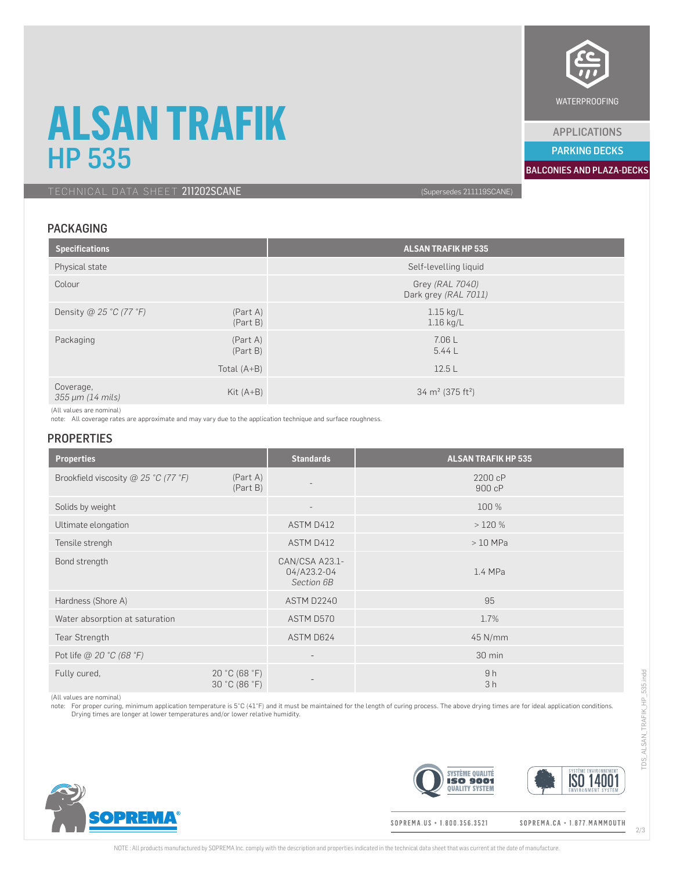# **ALSAN TRAFIK** <u>HP 535 BALCONIES AND PARKING DECKS</u>

TECHNICAL DATA SHEET 211202SCANE (Supersedes 211119SCANE)

## PACKAGING

| <b>Specifications</b>         |                      | <b>ALSAN TRAFIK HP 535</b>               |
|-------------------------------|----------------------|------------------------------------------|
| Physical state                |                      | Self-levelling liquid                    |
| Colour                        |                      | Grey (RAL 7040)<br>Dark grey (RAL 7011)  |
| Density @ 25 °C (77 °F)       | (Part A)<br>(Part B) | $1.15$ kg/L<br>$1.16$ kg/L               |
| Packaging                     | (Part A)<br>(Part B) | 7.06 L<br>5.44L                          |
|                               | Total $(A+B)$        | 12.5L                                    |
| Coverage,<br>355 µm (14 mils) | Kit $(A+B)$          | 34 m <sup>2</sup> (375 ft <sup>2</sup> ) |

(All values are nominal)

note: All coverage rates are approximate and may vary due to the application technique and surface roughness.

#### **PROPERTIES**

| <b>Properties</b>                    |                                | <b>Standards</b>                            | <b>ALSAN TRAFIK HP 535</b> |
|--------------------------------------|--------------------------------|---------------------------------------------|----------------------------|
| Brookfield viscosity @ 25 °C (77 °F) | (Part A)<br>(Part B)           |                                             | 2200 cP<br>900 cP          |
| Solids by weight                     |                                | $\overline{\phantom{a}}$                    | 100 %                      |
| Ultimate elongation                  |                                | ASTM D412                                   | >120%                      |
| Tensile strengh                      |                                | ASTM D412                                   | $>10$ MPa                  |
| Bond strength                        |                                | CAN/CSA A23.1-<br>04/A23.2-04<br>Section 6B | 1.4 MPa                    |
| Hardness (Shore A)                   |                                | ASTM D2240                                  | 95                         |
| Water absorption at saturation       |                                | ASTM D570                                   | 1.7%                       |
| Tear Strength                        |                                | ASTM D624                                   | 45 N/mm                    |
| Pot life @ 20 °C (68 °F)             |                                | $\overline{\phantom{a}}$                    | 30 min                     |
| Fully cured,                         | 20 °C (68 °F)<br>30 °C (86 °F) | $\overline{\phantom{0}}$                    | 9h<br>3h                   |

(All values are nominal)

**OPREMA** 

note: For proper curing, minimum application temperature is 5°C (41°F) and it must be maintained for the length of curing process. The above drying times are for ideal application conditions.<br>Drying times are longer at low





#### SOPREMA.US + 1.800.356.3521

SOPREMA.CA · 1.877.MAMMOUTH





APPLICATIONS

PARKING DECKS